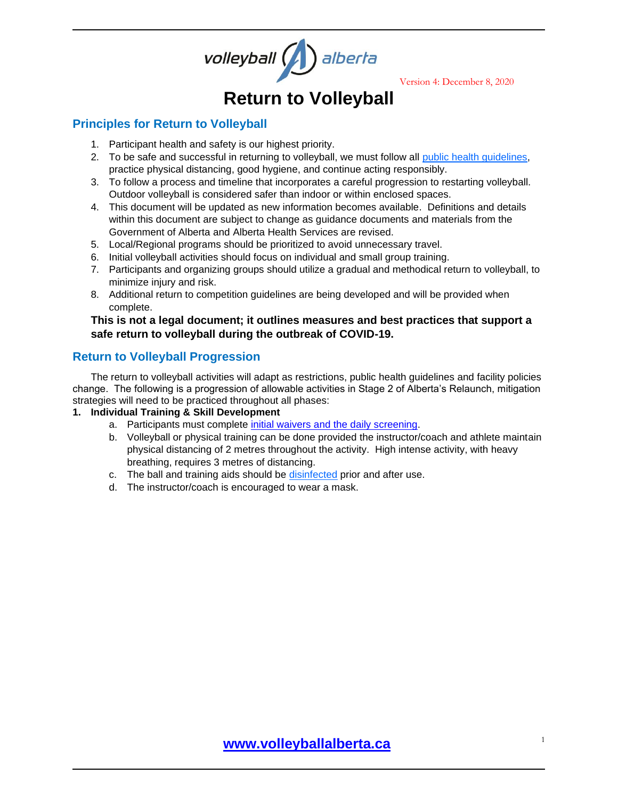

Version 4: December 8, 2020

# **Return to Volleyball**

### **Principles for Return to Volleyball**

- 1. Participant health and safety is our highest priority.
- 2. To be safe and successful in returning to volleyball, we must follow all [public health guidelines,](https://www.alberta.ca/coronavirus-info-for-albertans.aspx) practice physical distancing, good hygiene, and continue acting responsibly.
- 3. To follow a process and timeline that incorporates a careful progression to restarting volleyball. Outdoor volleyball is considered safer than indoor or within enclosed spaces.
- 4. This document will be updated as new information becomes available. Definitions and details within this document are subject to change as guidance documents and materials from the Government of Alberta and Alberta Health Services are revised.
- 5. Local/Regional programs should be prioritized to avoid unnecessary travel.
- 6. Initial volleyball activities should focus on individual and small group training.
- 7. Participants and organizing groups should utilize a gradual and methodical return to volleyball, to minimize injury and risk.
- 8. Additional return to competition guidelines are being developed and will be provided when complete.

#### **This is not a legal document; it outlines measures and best practices that support a safe return to volleyball during the outbreak of COVID-19.**

## **Return to Volleyball Progression**

The return to volleyball activities will adapt as restrictions, public health guidelines and facility policies change. The following is a progression of allowable activities in Stage 2 of Alberta's Relaunch, mitigation strategies will need to be practiced throughout all phases:

#### **1. Individual Training & Skill Development**

- a. Participants must complete initial waivers and [the daily screening.](https://www.volleyballalberta.ca/node/866)
- b. Volleyball or physical training can be done provided the instructor/coach and athlete maintain physical distancing of 2 metres throughout the activity. High intense activity, with heavy breathing, requires 3 metres of distancing.
- c. The ball and training aids should be [disinfected](https://www.canada.ca/en/health-canada/services/drugs-health-products/disinfectants/covid-19/list.html) prior and after use.
- d. The instructor/coach is encouraged to wear a mask.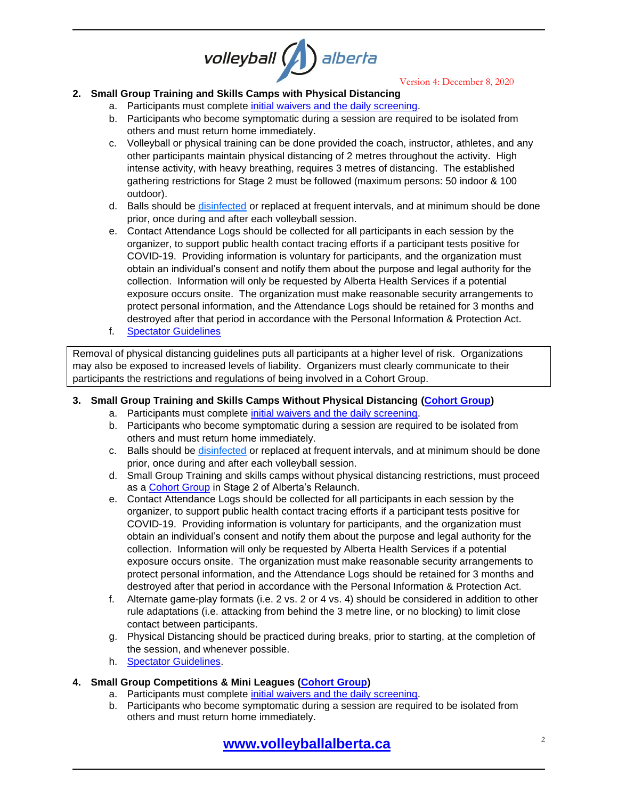# volleyball ( alberta

Version 4: December 8, 2020

#### **2. Small Group Training and Skills Camps with Physical Distancing**

- a. Participants must complete initial waivers [and the daily screening.](https://www.volleyballalberta.ca/node/866)
- b. Participants who become symptomatic during a session are required to be isolated from others and must return home immediately.
- c. Volleyball or physical training can be done provided the coach, instructor, athletes, and any other participants maintain physical distancing of 2 metres throughout the activity. High intense activity, with heavy breathing, requires 3 metres of distancing. The established gathering restrictions for Stage 2 must be followed (maximum persons: 50 indoor & 100 outdoor).
- d. Balls should be [disinfected](https://www.canada.ca/en/health-canada/services/drugs-health-products/disinfectants/covid-19/list.html) or replaced at frequent intervals, and at minimum should be done prior, once during and after each volleyball session.
- e. Contact Attendance Logs should be collected for all participants in each session by the organizer, to support public health contact tracing efforts if a participant tests positive for COVID-19. Providing information is voluntary for participants, and the organization must obtain an individual's consent and notify them about the purpose and legal authority for the collection. Information will only be requested by Alberta Health Services if a potential exposure occurs onsite. The organization must make reasonable security arrangements to protect personal information, and the Attendance Logs should be retained for 3 months and destroyed after that period in accordance with the Personal Information & Protection Act.
- f. [Spectator Guidelines](#page-4-0)

Removal of physical distancing guidelines puts all participants at a higher level of risk. Organizations may also be exposed to increased levels of liability. Organizers must clearly communicate to their participants the restrictions and regulations of being involved in a Cohort Group.

#### **3. Small Group Training and Skills Camps Without Physical Distancing [\(Cohort Group\)](#page-2-0)**

- a. Participants must complete initial waivers [and the daily screening.](https://www.volleyballalberta.ca/node/866)
- b. Participants who become symptomatic during a session are required to be isolated from others and must return home immediately.
- c. Balls should be [disinfected](https://www.canada.ca/en/health-canada/services/drugs-health-products/disinfectants/covid-19/list.html) or replaced at frequent intervals, and at minimum should be done prior, once during and after each volleyball session.
- d. Small Group Training and skills camps without physical distancing restrictions, must proceed as a [Cohort Group](#page-2-0) in Stage 2 of Alberta's Relaunch.
- e. Contact Attendance Logs should be collected for all participants in each session by the organizer, to support public health contact tracing efforts if a participant tests positive for COVID-19. Providing information is voluntary for participants, and the organization must obtain an individual's consent and notify them about the purpose and legal authority for the collection. Information will only be requested by Alberta Health Services if a potential exposure occurs onsite. The organization must make reasonable security arrangements to protect personal information, and the Attendance Logs should be retained for 3 months and destroyed after that period in accordance with the Personal Information & Protection Act.
- f. Alternate game-play formats (i.e. 2 vs. 2 or 4 vs. 4) should be considered in addition to other rule adaptations (i.e. attacking from behind the 3 metre line, or no blocking) to limit close contact between participants.
- g. Physical Distancing should be practiced during breaks, prior to starting, at the completion of the session, and whenever possible.
- h. [Spectator Guidelines.](#page-4-0)

#### **4. Small Group Competitions & Mini Leagues [\(Cohort Group\)](#page-2-0)**

- a. Participants must complete initial waivers and [the daily screening.](https://www.volleyballalberta.ca/node/866)
- b. Participants who become symptomatic during a session are required to be isolated from others and must return home immediately.

# **[www.volleyballalberta.ca](http://www.volleyballalberta.ca/)** <sup>2</sup>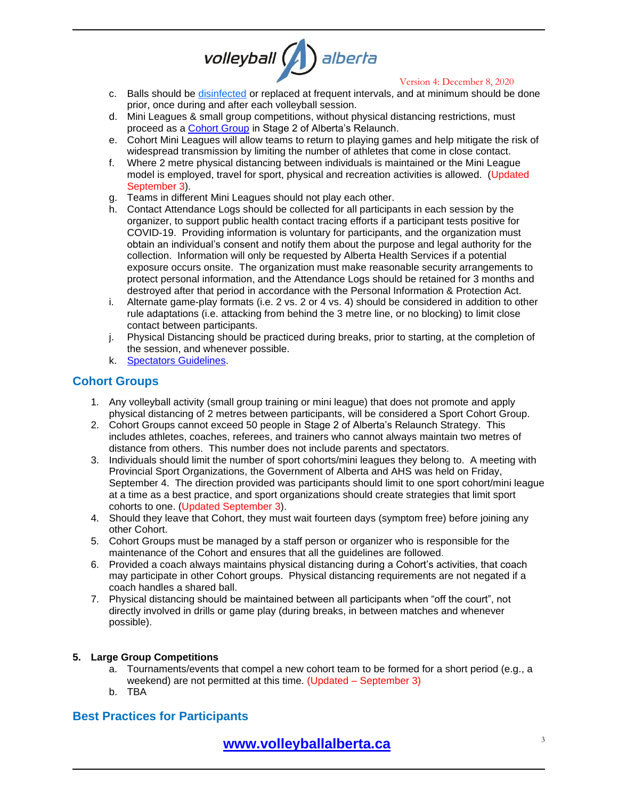# 

Version 4: December 8, 2020

- c. Balls should be [disinfected](ttps://www.canada.ca/en/health-canada/services/drugs-health-products/disinfectants/covid-19/list.html) or replaced at frequent intervals, and at minimum should be done prior, once during and after each volleyball session.
- d. Mini Leagues & small group competitions, without physical distancing restrictions, must proceed as a [Cohort Group](#page-2-0) in Stage 2 of Alberta's Relaunch.
- e. Cohort Mini Leagues will allow teams to return to playing games and help mitigate the risk of widespread transmission by limiting the number of athletes that come in close contact.
- f. Where 2 metre physical distancing between individuals is maintained or the Mini League model is employed, travel for sport, physical and recreation activities is allowed. (Updated September 3).
- g. Teams in different Mini Leagues should not play each other.
- h. Contact Attendance Logs should be collected for all participants in each session by the organizer, to support public health contact tracing efforts if a participant tests positive for COVID-19. Providing information is voluntary for participants, and the organization must obtain an individual's consent and notify them about the purpose and legal authority for the collection. Information will only be requested by Alberta Health Services if a potential exposure occurs onsite. The organization must make reasonable security arrangements to protect personal information, and the Attendance Logs should be retained for 3 months and destroyed after that period in accordance with the Personal Information & Protection Act.
- i. Alternate game-play formats (i.e. 2 vs. 2 or 4 vs. 4) should be considered in addition to other rule adaptations (i.e. attacking from behind the 3 metre line, or no blocking) to limit close contact between participants.
- j. Physical Distancing should be practiced during breaks, prior to starting, at the completion of the session, and whenever possible.
- k. [Spectators Guidelines.](#page-4-0)

#### <span id="page-2-0"></span>**Cohort Groups**

- 1. Any volleyball activity (small group training or mini league) that does not promote and apply physical distancing of 2 metres between participants, will be considered a Sport Cohort Group.
- 2. Cohort Groups cannot exceed 50 people in Stage 2 of Alberta's Relaunch Strategy. This includes athletes, coaches, referees, and trainers who cannot always maintain two metres of distance from others. This number does not include parents and spectators.
- 3. Individuals should limit the number of sport cohorts/mini leagues they belong to. A meeting with Provincial Sport Organizations, the Government of Alberta and AHS was held on Friday, September 4. The direction provided was participants should limit to one sport cohort/mini league at a time as a best practice, and sport organizations should create strategies that limit sport cohorts to one. (Updated September 3).
- 4. Should they leave that Cohort, they must wait fourteen days (symptom free) before joining any other Cohort.
- 5. Cohort Groups must be managed by a staff person or organizer who is responsible for the maintenance of the Cohort and ensures that all the guidelines are followed.
- 6. Provided a coach always maintains physical distancing during a Cohort's activities, that coach may participate in other Cohort groups. Physical distancing requirements are not negated if a coach handles a shared ball.
- 7. Physical distancing should be maintained between all participants when "off the court", not directly involved in drills or game play (during breaks, in between matches and whenever possible).

#### **5. Large Group Competitions**

- a. Tournaments/events that compel a new cohort team to be formed for a short period (e.g., a weekend) are not permitted at this time. (Updated – September 3)
- b. TBA

## **Best Practices for Participants**

# **[www.volleyballalberta.ca](http://www.volleyballalberta.ca/)** <sup>3</sup>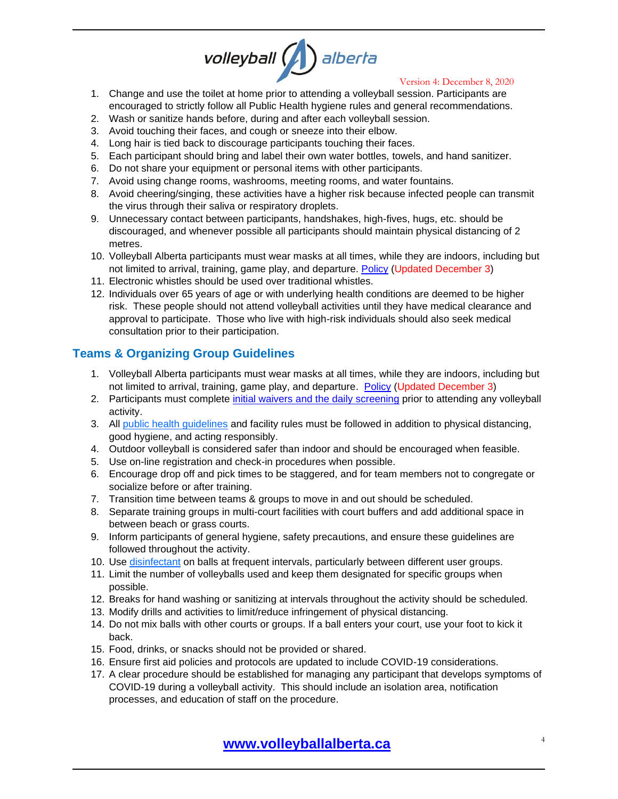# volleyball ( alberta

#### Version 4: December 8, 2020

- 1. Change and use the toilet at home prior to attending a volleyball session. Participants are encouraged to strictly follow all Public Health hygiene rules and general recommendations.
- 2. Wash or sanitize hands before, during and after each volleyball session.
- 3. Avoid touching their faces, and cough or sneeze into their elbow.
- 4. Long hair is tied back to discourage participants touching their faces.
- 5. Each participant should bring and label their own water bottles, towels, and hand sanitizer.
- 6. Do not share your equipment or personal items with other participants.
- 7. Avoid using change rooms, washrooms, meeting rooms, and water fountains.
- 8. Avoid cheering/singing, these activities have a higher risk because infected people can transmit the virus through their saliva or respiratory droplets.
- 9. Unnecessary contact between participants, handshakes, high-fives, hugs, etc. should be discouraged, and whenever possible all participants should maintain physical distancing of 2 metres.
- 10. Volleyball Alberta participants must wear masks at all times, while they are indoors, including but not limited to arrival, training, game play, and departure. [Policy](https://www.volleyballalberta.ca/node/886) (Updated December 3)
- 11. Electronic whistles should be used over traditional whistles.
- 12. Individuals over 65 years of age or with underlying health conditions are deemed to be higher risk. These people should not attend volleyball activities until they have medical clearance and approval to participate. Those who live with high-risk individuals should also seek medical consultation prior to their participation.

## **Teams & Organizing Group Guidelines**

- 1. Volleyball Alberta participants must wear masks at all times, while they are indoors, including but not limited to arrival, training, game play, and departure. [Policy](https://www.volleyballalberta.ca/node/886) (Updated December 3)
- 2. Participants must complete [initial waivers and the daily screening](https://www.volleyballalberta.ca/node/866) prior to attending any volleyball activity.
- 3. All [public health guidelines](https://www.alberta.ca/coronavirus-info-for-albertans.aspx) and facility rules must be followed in addition to physical distancing, good hygiene, and acting responsibly.
- 4. Outdoor volleyball is considered safer than indoor and should be encouraged when feasible.
- 5. Use on-line registration and check-in procedures when possible.
- 6. Encourage drop off and pick times to be staggered, and for team members not to congregate or socialize before or after training.
- 7. Transition time between teams & groups to move in and out should be scheduled.
- 8. Separate training groups in multi-court facilities with court buffers and add additional space in between beach or grass courts.
- 9. Inform participants of general hygiene, safety precautions, and ensure these guidelines are followed throughout the activity.
- 10. Use [disinfectant](https://www.canada.ca/en/health-canada/services/drugs-health-products/disinfectants/covid-19/list.html) on balls at frequent intervals, particularly between different user groups.
- 11. Limit the number of volleyballs used and keep them designated for specific groups when possible.
- 12. Breaks for hand washing or sanitizing at intervals throughout the activity should be scheduled.
- 13. Modify drills and activities to limit/reduce infringement of physical distancing.
- 14. Do not mix balls with other courts or groups. If a ball enters your court, use your foot to kick it back.
- 15. Food, drinks, or snacks should not be provided or shared.
- 16. Ensure first aid policies and protocols are updated to include COVID-19 considerations.
- 17. A clear procedure should be established for managing any participant that develops symptoms of COVID-19 during a volleyball activity. This should include an isolation area, notification processes, and education of staff on the procedure.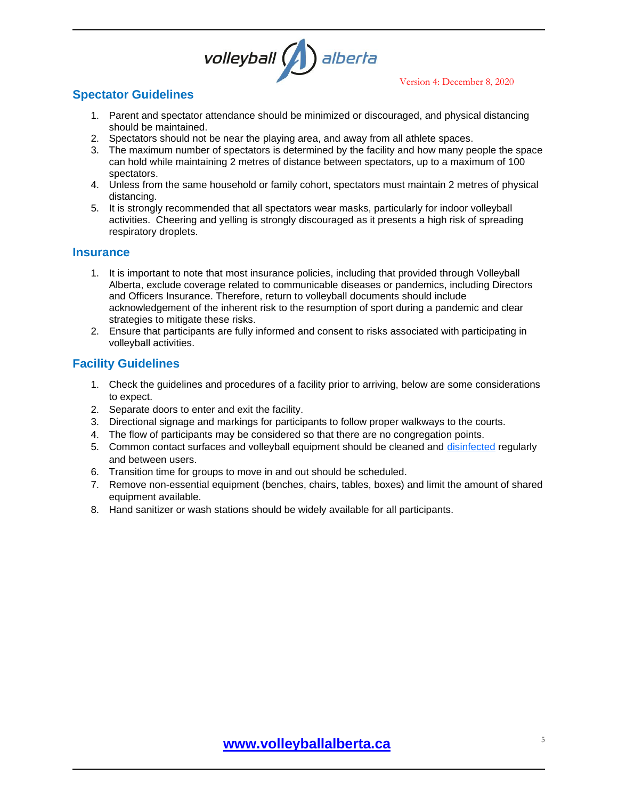

Version 4: December 8, 2020

## <span id="page-4-0"></span>**Spectator Guidelines**

- 1. Parent and spectator attendance should be minimized or discouraged, and physical distancing should be maintained.
- 2. Spectators should not be near the playing area, and away from all athlete spaces.
- 3. The maximum number of spectators is determined by the facility and how many people the space can hold while maintaining 2 metres of distance between spectators, up to a maximum of 100 spectators.
- 4. Unless from the same household or family cohort, spectators must maintain 2 metres of physical distancing.
- 5. It is strongly recommended that all spectators wear masks, particularly for indoor volleyball activities. Cheering and yelling is strongly discouraged as it presents a high risk of spreading respiratory droplets.

#### **Insurance**

- 1. It is important to note that most insurance policies, including that provided through Volleyball Alberta, exclude coverage related to communicable diseases or pandemics, including Directors and Officers Insurance. Therefore, return to volleyball documents should include acknowledgement of the inherent risk to the resumption of sport during a pandemic and clear strategies to mitigate these risks.
- 2. Ensure that participants are fully informed and consent to risks associated with participating in volleyball activities.

## **Facility Guidelines**

- 1. Check the guidelines and procedures of a facility prior to arriving, below are some considerations to expect.
- 2. Separate doors to enter and exit the facility.
- 3. Directional signage and markings for participants to follow proper walkways to the courts.
- 4. The flow of participants may be considered so that there are no congregation points.
- 5. Common contact surfaces and volleyball equipment should be cleaned and [disinfected](https://www.canada.ca/en/health-canada/services/drugs-health-products/disinfectants/covid-19/list.html) regularly and between users.
- 6. Transition time for groups to move in and out should be scheduled.
- 7. Remove non-essential equipment (benches, chairs, tables, boxes) and limit the amount of shared equipment available.
- 8. Hand sanitizer or wash stations should be widely available for all participants.